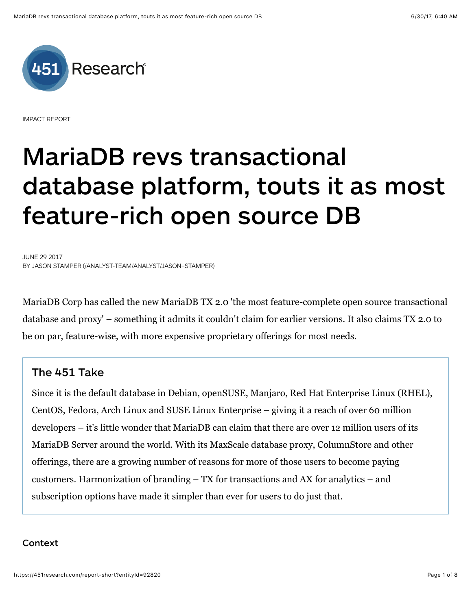

IMPACT REPORT

# **MariaDB revs transactional database platform, touts it as most feature-rich open source DB**

JUNE 29 2017 BY [JASON STAMPER \(/ANALYST-TEAM/ANALYST/JASON+STAMPER\)](https://451research.com/analyst-team/analyst/Jason+Stamper)

MariaDB Corp has called the new MariaDB TX 2.0 'the most feature-complete open source transactional database and proxy' – something it admits it couldn't claim for earlier versions. It also claims TX 2.0 to be on par, feature-wise, with more expensive proprietary offerings for most needs.

# **The 451 Take**

Since it is the default database in Debian, openSUSE, Manjaro, Red Hat Enterprise Linux (RHEL), CentOS, Fedora, Arch Linux and SUSE Linux Enterprise – giving it a reach of over 60 million developers – it's little wonder that MariaDB can claim that there are over 12 million users of its MariaDB Server around the world. With its MaxScale database proxy, ColumnStore and other offerings, there are a growing number of reasons for more of those users to become paying customers. Harmonization of branding – TX for transactions and AX for analytics – and subscription options have made it simpler than ever for users to do just that.

# **Context**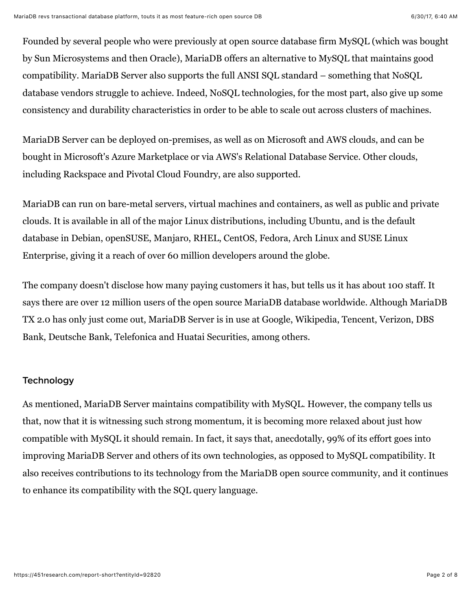Founded by several people who were previously at open source database firm MySQL (which was bought by Sun Microsystems and then Oracle), MariaDB offers an alternative to MySQL that maintains good compatibility. MariaDB Server also supports the full ANSI SQL standard – something that NoSQL database vendors struggle to achieve. Indeed, NoSQL technologies, for the most part, also give up some consistency and durability characteristics in order to be able to scale out across clusters of machines.

MariaDB Server can be deployed on-premises, as well as on Microsoft and AWS clouds, and can be bought in Microsoft's Azure Marketplace or via AWS's Relational Database Service. Other clouds, including Rackspace and Pivotal Cloud Foundry, are also supported.

MariaDB can run on bare-metal servers, virtual machines and containers, as well as public and private clouds. It is available in all of the major Linux distributions, including Ubuntu, and is the default database in Debian, openSUSE, Manjaro, RHEL, CentOS, Fedora, Arch Linux and SUSE Linux Enterprise, giving it a reach of over 60 million developers around the globe.

The company doesn't disclose how many paying customers it has, but tells us it has about 100 staff. It says there are over 12 million users of the open source MariaDB database worldwide. Although MariaDB TX 2.0 has only just come out, MariaDB Server is in use at Google, Wikipedia, Tencent, Verizon, DBS Bank, Deutsche Bank, Telefonica and Huatai Securities, among others.

## **Technology**

As mentioned, MariaDB Server maintains compatibility with MySQL. However, the company tells us that, now that it is witnessing such strong momentum, it is becoming more relaxed about just how compatible with MySQL it should remain. In fact, it says that, anecdotally, 99% of its effort goes into improving MariaDB Server and others of its own technologies, as opposed to MySQL compatibility. It also receives contributions to its technology from the MariaDB open source community, and it continues to enhance its compatibility with the SQL query language.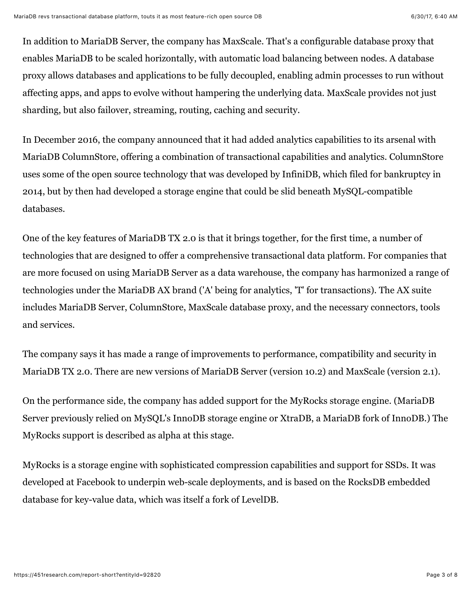In addition to MariaDB Server, the company has MaxScale. That's a configurable database proxy that enables MariaDB to be scaled horizontally, with automatic load balancing between nodes. A database proxy allows databases and applications to be fully decoupled, enabling admin processes to run without affecting apps, and apps to evolve without hampering the underlying data. MaxScale provides not just sharding, but also failover, streaming, routing, caching and security.

In December 2016, the company announced that it had added analytics capabilities to its arsenal with MariaDB ColumnStore, offering a combination of transactional capabilities and analytics. ColumnStore uses some of the open source technology that was developed by InfiniDB, which filed for bankruptcy in 2014, but by then had developed a storage engine that could be slid beneath MySQL-compatible databases.

One of the key features of MariaDB TX 2.0 is that it brings together, for the first time, a number of technologies that are designed to offer a comprehensive transactional data platform. For companies that are more focused on using MariaDB Server as a data warehouse, the company has harmonized a range of technologies under the MariaDB AX brand ('A' being for analytics, 'T' for transactions). The AX suite includes MariaDB Server, ColumnStore, MaxScale database proxy, and the necessary connectors, tools and services.

The company says it has made a range of improvements to performance, compatibility and security in MariaDB TX 2.0. There are new versions of MariaDB Server (version 10.2) and MaxScale (version 2.1).

On the performance side, the company has added support for the MyRocks storage engine. (MariaDB Server previously relied on MySQL's InnoDB storage engine or XtraDB, a MariaDB fork of InnoDB.) The MyRocks support is described as alpha at this stage.

MyRocks is a storage engine with sophisticated compression capabilities and support for SSDs. It was developed at Facebook to underpin web-scale deployments, and is based on the RocksDB embedded database for key-value data, which was itself a fork of LevelDB.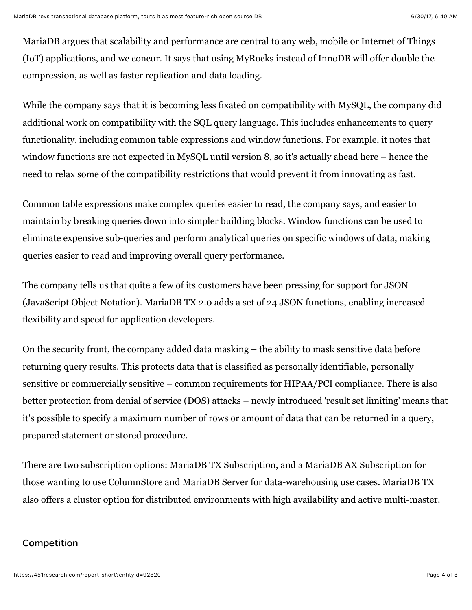MariaDB argues that scalability and performance are central to any web, mobile or Internet of Things (IoT) applications, and we concur. It says that using MyRocks instead of InnoDB will offer double the compression, as well as faster replication and data loading.

While the company says that it is becoming less fixated on compatibility with MySQL, the company did additional work on compatibility with the SQL query language. This includes enhancements to query functionality, including common table expressions and window functions. For example, it notes that window functions are not expected in MySQL until version 8, so it's actually ahead here – hence the need to relax some of the compatibility restrictions that would prevent it from innovating as fast.

Common table expressions make complex queries easier to read, the company says, and easier to maintain by breaking queries down into simpler building blocks. Window functions can be used to eliminate expensive sub-queries and perform analytical queries on specific windows of data, making queries easier to read and improving overall query performance.

The company tells us that quite a few of its customers have been pressing for support for JSON (JavaScript Object Notation). MariaDB TX 2.0 adds a set of 24 JSON functions, enabling increased flexibility and speed for application developers.

On the security front, the company added data masking – the ability to mask sensitive data before returning query results. This protects data that is classified as personally identifiable, personally sensitive or commercially sensitive – common requirements for HIPAA/PCI compliance. There is also better protection from denial of service (DOS) attacks – newly introduced 'result set limiting' means that it's possible to specify a maximum number of rows or amount of data that can be returned in a query, prepared statement or stored procedure.

There are two subscription options: MariaDB TX Subscription, and a MariaDB AX Subscription for those wanting to use ColumnStore and MariaDB Server for data-warehousing use cases. MariaDB TX also offers a cluster option for distributed environments with high availability and active multi-master.

# **Competition**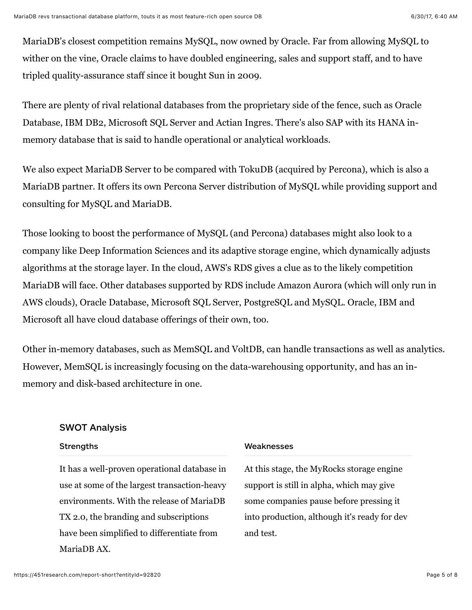MariaDB's closest competition remains MySQL, now owned by Oracle. Far from allowing MySQL to wither on the vine, Oracle claims to have doubled engineering, sales and support staff, and to have tripled quality-assurance staff since it bought Sun in 2009.

There are plenty of rival relational databases from the proprietary side of the fence, such as Oracle Database, IBM DB2, Microsoft SQL Server and Actian Ingres. There's also SAP with its HANA inmemory database that is said to handle operational or analytical workloads.

We also expect MariaDB Server to be compared with TokuDB (acquired by Percona), which is also a MariaDB partner. It offers its own Percona Server distribution of MySQL while providing support and consulting for MySQL and MariaDB.

Those looking to boost the performance of MySQL (and Percona) databases might also look to a company like Deep Information Sciences and its adaptive storage engine, which dynamically adjusts algorithms at the storage layer. In the cloud, AWS's RDS gives a clue as to the likely competition MariaDB will face. Other databases supported by RDS include Amazon Aurora (which will only run in AWS clouds), Oracle Database, Microsoft SQL Server, PostgreSQL and MySQL. Oracle, IBM and Microsoft all have cloud database offerings of their own, too.

Other in-memory databases, such as MemSQL and VoltDB, can handle transactions as well as analytics. However, MemSQL is increasingly focusing on the data-warehousing opportunity, and has an inmemory and disk-based architecture in one.

## **SWOT Analysis**

#### **Strengths**

It has a well-proven operational database in use at some of the largest transaction-heavy environments. With the release of MariaDB TX 2.0, the branding and subscriptions have been simplified to differentiate from MariaDB AX.

#### **Weaknesses**

At this stage, the MyRocks storage engine support is still in alpha, which may give some companies pause before pressing it into production, although it's ready for dev and test.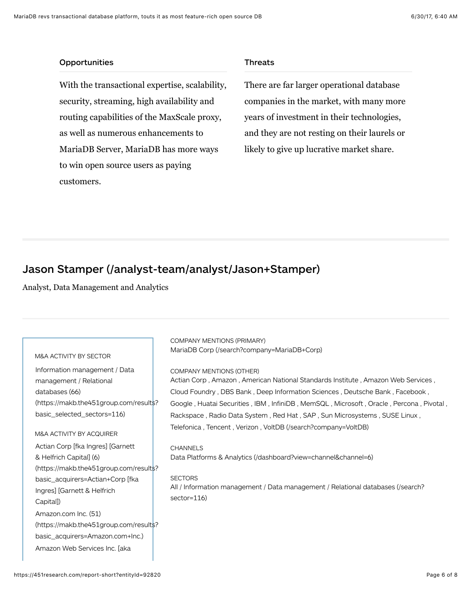#### **Opportunities**

With the transactional expertise, scalability, security, streaming, high availability and routing capabilities of the MaxScale proxy, as well as numerous enhancements to MariaDB Server, MariaDB has more ways to win open source users as paying customers.

#### **Threats**

There are far larger operational database companies in the market, with many more years of investment in their technologies, and they are not resting on their laurels or likely to give up lucrative market share.

# **[Jason Stamper \(/analyst-team/analyst/Jason+Stamper\)](https://451research.com/analyst-team/analyst/Jason+Stamper)**

Analyst, Data Management and Analytics

| M&A ACTIVITY BY SECTOR                                                                                                                                                                                             | COMPANY MENTIONS (PRIMARY)<br>MariaDB Corp (/search?company=MariaDB+Corp)                                                                                                                                                                                                                                                                                                  |
|--------------------------------------------------------------------------------------------------------------------------------------------------------------------------------------------------------------------|----------------------------------------------------------------------------------------------------------------------------------------------------------------------------------------------------------------------------------------------------------------------------------------------------------------------------------------------------------------------------|
| Information management / Data<br>management / Relational<br>databases (66)<br>(https://makb.the451group.com/results?)<br>basic selected sectors=116)                                                               | <b>COMPANY MENTIONS (OTHER)</b><br>Actian Corp, Amazon, American National Standards Institute, Amazon Web Services,<br>Cloud Foundry, DBS Bank, Deep Information Sciences, Deutsche Bank, Facebook,<br>Google, Huatai Securities, IBM, InfiniDB, MemSQL, Microsoft, Oracle, Percona, Pivotal,<br>Rackspace, Radio Data System, Red Hat, SAP, Sun Microsystems, SUSE Linux, |
| M&A ACTIVITY BY ACQUIRER<br>Actian Corp [fka Ingres] [Garnett<br>& Helfrich Capital] (6)<br>(https://makb.the451group.com/results?)<br>basic_acquirers=Actian+Corp [fka<br>Ingres] [Garnett & Helfrich<br>Capital) | Telefonica, Tencent, Verizon, VoltDB (/search?company=VoltDB)<br><b>CHANNELS</b><br>Data Platforms & Analytics (/dashboard?view=channel&channel=6)<br><b>SECTORS</b><br>All / Information management / Data management / Relational databases (/search?<br>sector=116)                                                                                                     |
| Amazon.com Inc. (51)<br>(https://makb.the451group.com/results?)<br>basic_acquirers=Amazon.com+Inc.)<br>Amazon Web Services Inc. Taka                                                                               |                                                                                                                                                                                                                                                                                                                                                                            |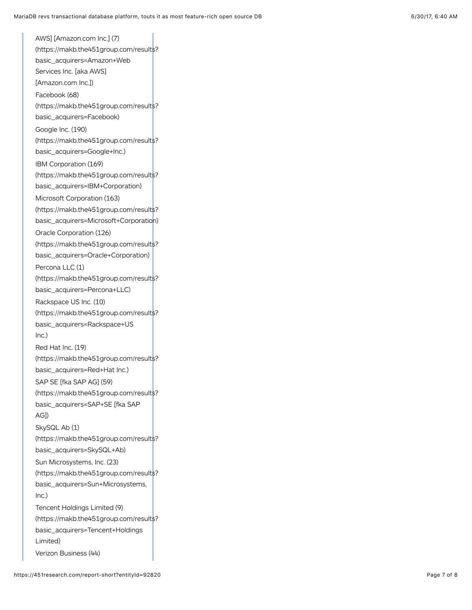AWS] [Amazon.com Inc.] (7) [\(https://makb.the451group.com/results?](https://makb.the451group.com/results?basic_acquirers=Amazon+Web%20Services%20Inc.%20%5Baka%20AWS%5D%20%5BAmazon.com%20Inc.%5D) basic\_acquirers=Amazon+Web Services Inc. [aka AWS] [Amazon.com Inc.]) Facebook (68) [\(https://makb.the451group.com/results?](https://makb.the451group.com/results?basic_acquirers=Facebook) basic\_acquirers=Facebook) Google Inc. (190) [\(https://makb.the451group.com/results?](https://makb.the451group.com/results?basic_acquirers=Google+Inc.) basic\_acquirers=Google+Inc.) IBM Corporation (169) [\(https://makb.the451group.com/results?](https://makb.the451group.com/results?basic_acquirers=IBM+Corporation) basic\_acquirers=IBM+Corporation) Microsoft Corporation (163) (https://makb.the451group.com/results? [basic\\_acquirers=Microsoft+Corporation\)](https://makb.the451group.com/results?basic_acquirers=Microsoft+Corporation) Oracle Corporation (126) [\(https://makb.the451group.com/results?](https://makb.the451group.com/results?basic_acquirers=Oracle+Corporation) basic\_acquirers=Oracle+Corporation) Percona LLC (1) [\(https://makb.the451group.com/results?](https://makb.the451group.com/results?basic_acquirers=Percona+LLC) basic\_acquirers=Percona+LLC) Rackspace US Inc. (10) [\(https://makb.the451group.com/results?](https://makb.the451group.com/results?basic_acquirers=Rackspace+US%20Inc.) basic\_acquirers=Rackspace+US Inc.) Red Hat Inc. (19) [\(https://makb.the451group.com/results?](https://makb.the451group.com/results?basic_acquirers=Red+Hat%20Inc.) basic\_acquirers=Red+Hat Inc.) SAP SE [fka SAP AG] (59) [\(https://makb.the451group.com/results?](https://makb.the451group.com/results?basic_acquirers=SAP+SE%20%5Bfka%20SAP%20AG%5D) basic\_acquirers=SAP+SE [fka SAP AG]) SkySQL Ab (1) [\(https://makb.the451group.com/results?](https://makb.the451group.com/results?basic_acquirers=SkySQL+Ab) basic\_acquirers=SkySQL+Ab) Sun Microsystems, Inc. (23) [\(https://makb.the451group.com/results?](https://makb.the451group.com/results?basic_acquirers=Sun+Microsystems,%20Inc.) basic\_acquirers=Sun+Microsystems, Inc.) Tencent Holdings Limited (9) [\(https://makb.the451group.com/results?](https://makb.the451group.com/results?basic_acquirers=Tencent+Holdings%20Limited) basic\_acquirers=Tencent+Holdings Limited) [Verizon Business \(44\)](https://makb.the451group.com/results?basic_acquirers=Verizon+Business)